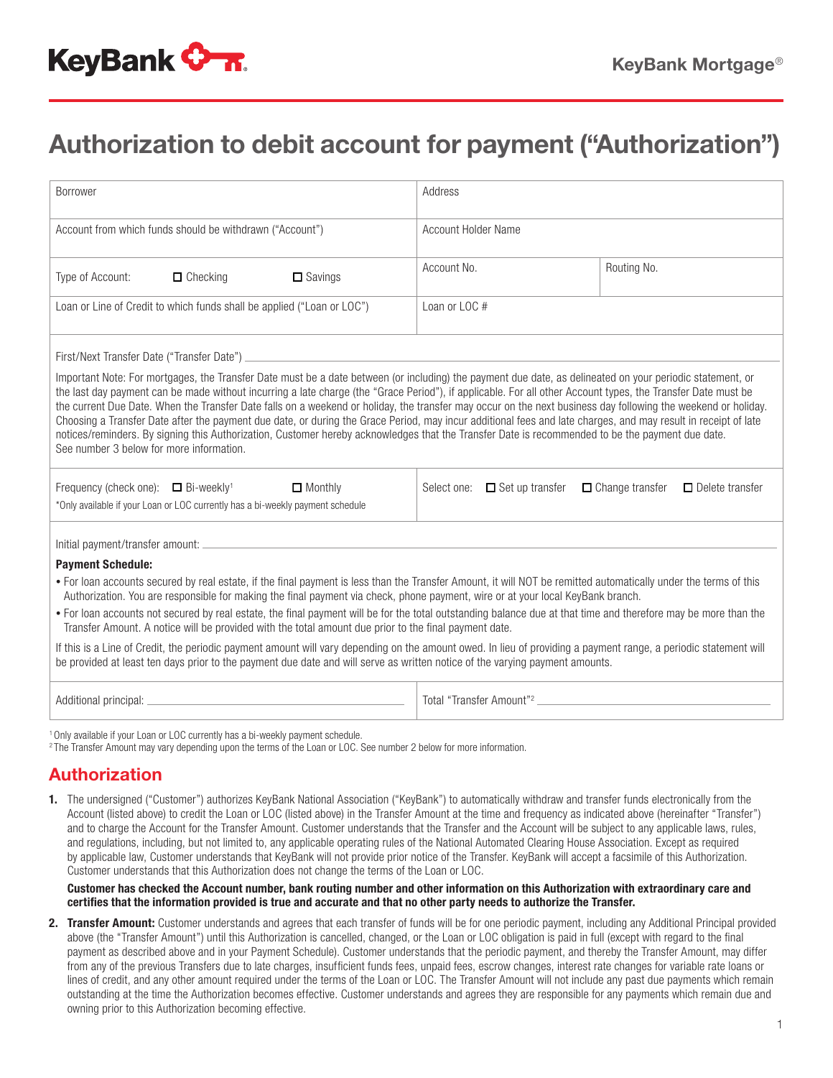## Authorization to debit account for payment ("Authorization")

| <b>Borrower</b>                                                                                                                                                                                                                                                                                                                                                                                                                                                                                                                                                                                                                                                                                                                                                                                                                                              | Address                              |                                                  |
|--------------------------------------------------------------------------------------------------------------------------------------------------------------------------------------------------------------------------------------------------------------------------------------------------------------------------------------------------------------------------------------------------------------------------------------------------------------------------------------------------------------------------------------------------------------------------------------------------------------------------------------------------------------------------------------------------------------------------------------------------------------------------------------------------------------------------------------------------------------|--------------------------------------|--------------------------------------------------|
| Account from which funds should be withdrawn ("Account")                                                                                                                                                                                                                                                                                                                                                                                                                                                                                                                                                                                                                                                                                                                                                                                                     | Account Holder Name                  |                                                  |
| Type of Account:<br>$\Box$ Checking<br>$\Box$ Savings                                                                                                                                                                                                                                                                                                                                                                                                                                                                                                                                                                                                                                                                                                                                                                                                        | Account No.                          | Routing No.                                      |
| Loan or Line of Credit to which funds shall be applied ("Loan or LOC")                                                                                                                                                                                                                                                                                                                                                                                                                                                                                                                                                                                                                                                                                                                                                                                       | Loan or LOC#                         |                                                  |
| First/Next Transfer Date ("Transfer Date") entertainment and the control of the control of the control of the c                                                                                                                                                                                                                                                                                                                                                                                                                                                                                                                                                                                                                                                                                                                                              |                                      |                                                  |
| Important Note: For mortgages, the Transfer Date must be a date between (or including) the payment due date, as delineated on your periodic statement, or<br>the last day payment can be made without incurring a late charge (the "Grace Period"), if applicable. For all other Account types, the Transfer Date must be<br>the current Due Date. When the Transfer Date falls on a weekend or holiday, the transfer may occur on the next business day following the weekend or holiday.<br>Choosing a Transfer Date after the payment due date, or during the Grace Period, may incur additional fees and late charges, and may result in receipt of late<br>notices/reminders. By signing this Authorization, Customer hereby acknowledges that the Transfer Date is recommended to be the payment due date.<br>See number 3 below for more information. |                                      |                                                  |
| Frequency (check one): $\Box$ Bi-weekly <sup>1</sup><br>$\Box$ Monthly<br>*Only available if your Loan or LOC currently has a bi-weekly payment schedule                                                                                                                                                                                                                                                                                                                                                                                                                                                                                                                                                                                                                                                                                                     | Select one: $\Box$ Set up transfer   | $\Box$ Change transfer<br>$\Box$ Delete transfer |
| Initial payment/transfer amount: _                                                                                                                                                                                                                                                                                                                                                                                                                                                                                                                                                                                                                                                                                                                                                                                                                           |                                      |                                                  |
| <b>Payment Schedule:</b>                                                                                                                                                                                                                                                                                                                                                                                                                                                                                                                                                                                                                                                                                                                                                                                                                                     |                                      |                                                  |
| • For loan accounts secured by real estate, if the final payment is less than the Transfer Amount, it will NOT be remitted automatically under the terms of this<br>Authorization. You are responsible for making the final payment via check, phone payment, wire or at your local KeyBank branch.                                                                                                                                                                                                                                                                                                                                                                                                                                                                                                                                                          |                                      |                                                  |
| • For loan accounts not secured by real estate, the final payment will be for the total outstanding balance due at that time and therefore may be more than the<br>Transfer Amount. A notice will be provided with the total amount due prior to the final payment date.                                                                                                                                                                                                                                                                                                                                                                                                                                                                                                                                                                                     |                                      |                                                  |
| If this is a Line of Credit, the periodic payment amount will vary depending on the amount owed. In lieu of providing a payment range, a periodic statement will<br>be provided at least ten days prior to the payment due date and will serve as written notice of the varying payment amounts.                                                                                                                                                                                                                                                                                                                                                                                                                                                                                                                                                             |                                      |                                                  |
|                                                                                                                                                                                                                                                                                                                                                                                                                                                                                                                                                                                                                                                                                                                                                                                                                                                              | Total "Transfer Amount" <sup>2</sup> |                                                  |
| <sup>1</sup> Only available if your Loan or LOC currently has a bi-weekly payment schedule.                                                                                                                                                                                                                                                                                                                                                                                                                                                                                                                                                                                                                                                                                                                                                                  |                                      |                                                  |

2 The Transfer Amount may vary depending upon the terms of the Loan or LOC. See number 2 below for more information.

## Authorization

1. The undersigned ("Customer") authorizes KeyBank National Association ("KeyBank") to automatically withdraw and transfer funds electronically from the Account (listed above) to credit the Loan or LOC (listed above) in the Transfer Amount at the time and frequency as indicated above (hereinafter "Transfer") and to charge the Account for the Transfer Amount. Customer understands that the Transfer and the Account will be subject to any applicable laws, rules, and regulations, including, but not limited to, any applicable operating rules of the National Automated Clearing House Association. Except as required by applicable law, Customer understands that KeyBank will not provide prior notice of the Transfer. KeyBank will accept a facsimile of this Authorization. Customer understands that this Authorization does not change the terms of the Loan or LOC.

Customer has checked the Account number, bank routing number and other information on this Authorization with extraordinary care and certifies that the information provided is true and accurate and that no other party needs to authorize the Transfer.

2. Transfer Amount: Customer understands and agrees that each transfer of funds will be for one periodic payment, including any Additional Principal provided above (the "Transfer Amount") until this Authorization is cancelled, changed, or the Loan or LOC obligation is paid in full (except with regard to the final payment as described above and in your Payment Schedule). Customer understands that the periodic payment, and thereby the Transfer Amount, may differ from any of the previous Transfers due to late charges, insufficient funds fees, unpaid fees, escrow changes, interest rate changes for variable rate loans or lines of credit, and any other amount required under the terms of the Loan or LOC. The Transfer Amount will not include any past due payments which remain outstanding at the time the Authorization becomes effective. Customer understands and agrees they are responsible for any payments which remain due and owning prior to this Authorization becoming effective.